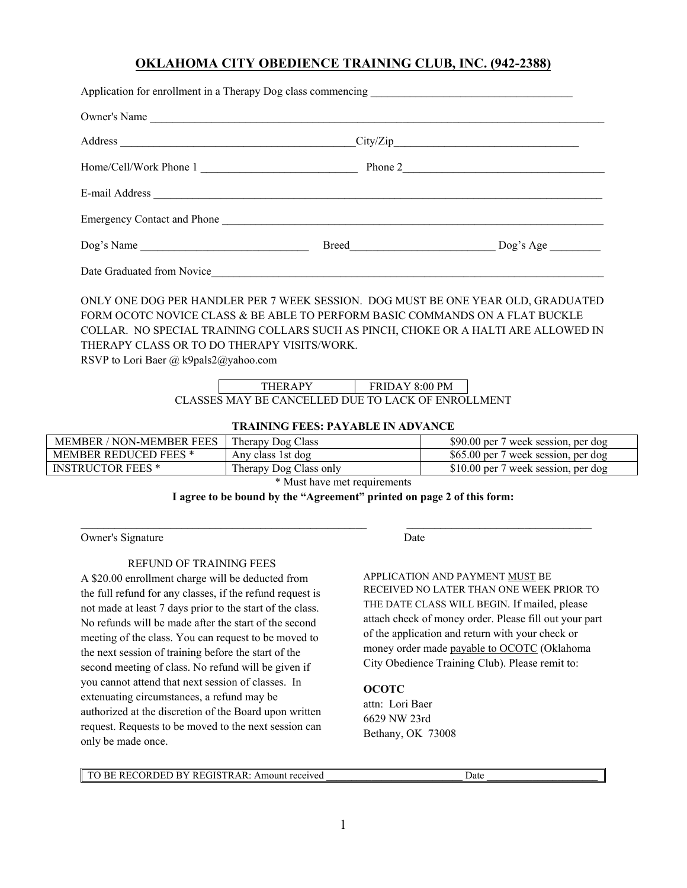# **OKLAHOMA CITY OBEDIENCE TRAINING CLUB, INC. (942-2388)**

| Owner's Name                                                                                                                                                                                                                                                                                                                                   |                        |  |  |  |
|------------------------------------------------------------------------------------------------------------------------------------------------------------------------------------------------------------------------------------------------------------------------------------------------------------------------------------------------|------------------------|--|--|--|
|                                                                                                                                                                                                                                                                                                                                                |                        |  |  |  |
| Home/Cell/Work Phone 1                                                                                                                                                                                                                                                                                                                         |                        |  |  |  |
|                                                                                                                                                                                                                                                                                                                                                |                        |  |  |  |
| Emergency Contact and Phone                                                                                                                                                                                                                                                                                                                    |                        |  |  |  |
|                                                                                                                                                                                                                                                                                                                                                |                        |  |  |  |
|                                                                                                                                                                                                                                                                                                                                                |                        |  |  |  |
| ONLY ONE DOG PER HANDLER PER 7 WEEK SESSION. DOG MUST BE ONE YEAR OLD, GRADUATED<br>FORM OCOTC NOVICE CLASS & BE ABLE TO PERFORM BASIC COMMANDS ON A FLAT BUCKLE<br>COLLAR. NO SPECIAL TRAINING COLLARS SUCH AS PINCH, CHOKE OR A HALTI ARE ALLOWED IN<br>THERAPY CLASS OR TO DO THERAPY VISITS/WORK.<br>RSVP to Lori Baer @ k9pals2@yahoo.com |                        |  |  |  |
|                                                                                                                                                                                                                                                                                                                                                | THERAPY FRIDAY 8:00 PM |  |  |  |
| CLASSES MAY BE CANCELLED DUE TO LACK OF ENROLLMENT                                                                                                                                                                                                                                                                                             |                        |  |  |  |

### **TRAINING FEES: PAYABLE IN ADVANCE**

| <b>MEMBER / NON-MEMBER FEES</b> | Therapy Dog Class      | \$90.00 per 7 week session, per dog |  |  |
|---------------------------------|------------------------|-------------------------------------|--|--|
| <b>MEMBER REDUCED FEES *</b>    | Any class 1st dog      | \$65.00 per 7 week session, per dog |  |  |
| <b>INSTRUCTOR FEES *</b>        | Therapy Dog Class only | \$10.00 per 7 week session, per dog |  |  |
| $*$ Must have mot no vinements  |                        |                                     |  |  |

\* Must have met requirements

#### **I agree to be bound by the "Agreement" printed on page 2 of this form:**

 $\mathcal{L}_\mathcal{L} = \{ \mathcal{L}_\mathcal{L} = \{ \mathcal{L}_\mathcal{L} = \{ \mathcal{L}_\mathcal{L} = \{ \mathcal{L}_\mathcal{L} = \{ \mathcal{L}_\mathcal{L} = \{ \mathcal{L}_\mathcal{L} = \{ \mathcal{L}_\mathcal{L} = \{ \mathcal{L}_\mathcal{L} = \{ \mathcal{L}_\mathcal{L} = \{ \mathcal{L}_\mathcal{L} = \{ \mathcal{L}_\mathcal{L} = \{ \mathcal{L}_\mathcal{L} = \{ \mathcal{L}_\mathcal{L} = \{ \mathcal{L}_\mathcal{$ 

Owner's Signature Date

## REFUND OF TRAINING FEES

A \$20.00 enrollment charge will be deducted from the full refund for any classes, if the refund request is not made at least 7 days prior to the start of the class. No refunds will be made after the start of the second meeting of the class. You can request to be moved to the next session of training before the start of the second meeting of class. No refund will be given if you cannot attend that next session of classes. In extenuating circumstances, a refund may be authorized at the discretion of the Board upon written request. Requests to be moved to the next session can only be made once.

APPLICATION AND PAYMENT MUST BE RECEIVED NO LATER THAN ONE WEEK PRIOR TO THE DATE CLASS WILL BEGIN. If mailed, please attach check of money order. Please fill out your part of the application and return with your check or money order made payable to OCOTC (Oklahoma City Obedience Training Club). Please remit to:

#### **OCOTC**

attn: Lori Baer 6629 NW 23rd Bethany, OK 73008

TO BE RECORDED BY REGISTRAR: Amount received  $\Box$